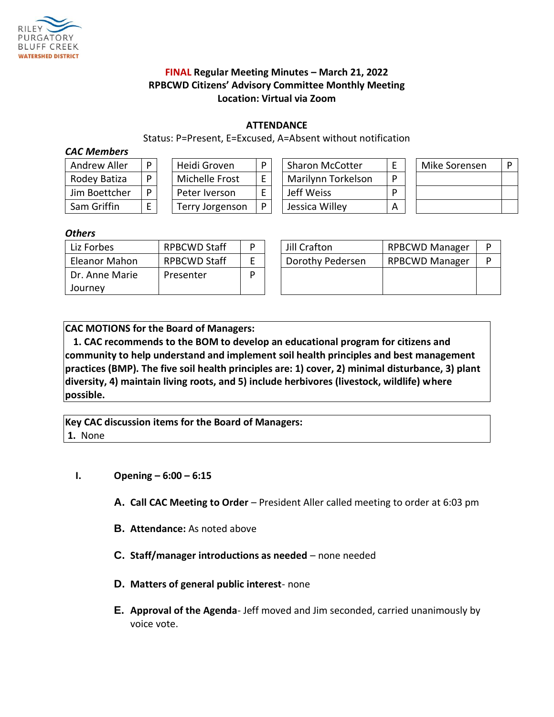

# **FINAL Regular Meeting Minutes – March 21, 2022 RPBCWD Citizens' Advisory Committee Monthly Meeting Location: Virtual via Zoom**

### **ATTENDANCE**

Status: P=Present, E=Excused, A=Absent without notification

#### *CAC Members*

| <b>Andrew Aller</b> |  |
|---------------------|--|
| Rodey Batiza        |  |
| Jim Boettcher       |  |
| Sam Griffin         |  |

| Heidi Groven    |  |  |  |  |  |
|-----------------|--|--|--|--|--|
| Michelle Frost  |  |  |  |  |  |
| Peter Iverson   |  |  |  |  |  |
| Terry Jorgenson |  |  |  |  |  |

| Andrew Aller  | Heidi Groven    |   | <b>Sharon McCotter</b> |  | Mike Sorensen | D |
|---------------|-----------------|---|------------------------|--|---------------|---|
| Rodey Batiza  | Michelle Frost  |   | Marilynn Torkelson     |  |               |   |
| Jim Boettcher | Peter Iverson   |   | Jeff Weiss             |  |               |   |
| Sam Griffin   | Terry Jorgenson | D | Jessica Willey         |  |               |   |

| Mike Sorensen | D |  |
|---------------|---|--|
|               |   |  |
|               |   |  |
|               |   |  |

### *Others*

| Liz Forbes     | <b>RPBCWD Staff</b> | D | Jill Crafton     | <b>RPBCWD Manager</b> | P |
|----------------|---------------------|---|------------------|-----------------------|---|
| Eleanor Mahon  | <b>RPBCWD Staff</b> |   | Dorothy Pedersen | <b>RPBCWD Manager</b> | P |
| Dr. Anne Marie | Presenter           | D |                  |                       |   |
| Journey        |                     |   |                  |                       |   |

| Jill Crafton     | <b>RPBCWD Manager</b> |  |
|------------------|-----------------------|--|
| Dorothy Pedersen | <b>RPBCWD Manager</b> |  |
|                  |                       |  |
|                  |                       |  |

**CAC MOTIONS for the Board of Managers:** 

**1. CAC recommends to the BOM to develop an educational program for citizens and community to help understand and implement soil health principles and best management practices (BMP). The five soil health principles are: 1) cover, 2) minimal disturbance, 3) plant diversity, 4) maintain living roots, and 5) include herbivores (livestock, wildlife) where possible.**

**Key CAC discussion items for the Board of Managers: 1.** None

# **I. Opening – 6:00 – 6:15**

- **A. Call CAC Meeting to Order**  President Aller called meeting to order at 6:03 pm
- **B. Attendance:** As noted above
- **C. Staff/manager introductions as needed**  none needed
- **D. Matters of general public interest** none
- **E. Approval of the Agenda** Jeff moved and Jim seconded, carried unanimously by voice vote.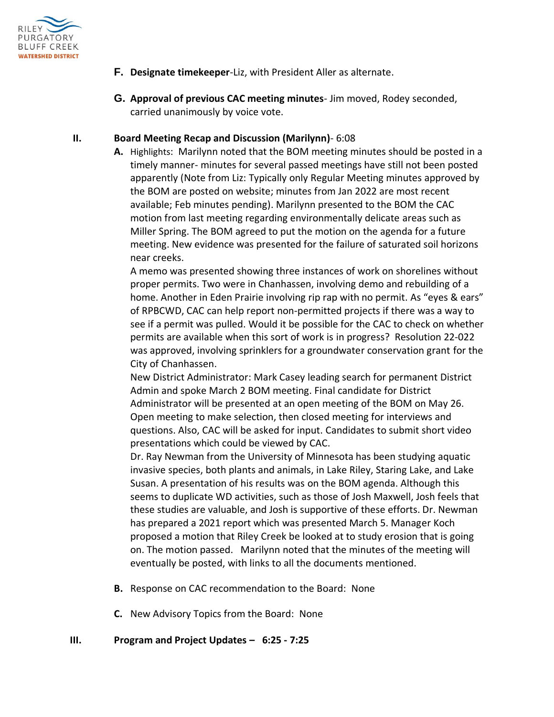

- **F. Designate timekeeper**-Liz, with President Aller as alternate.
- **G. Approval of previous CAC meeting minutes** Jim moved, Rodey seconded, carried unanimously by voice vote.

### **II. Board Meeting Recap and Discussion (Marilynn)**- 6:08

**A.** Highlights: Marilynn noted that the BOM meeting minutes should be posted in a timely manner- minutes for several passed meetings have still not been posted apparently (Note from Liz: Typically only Regular Meeting minutes approved by the BOM are posted on website; minutes from Jan 2022 are most recent available; Feb minutes pending). Marilynn presented to the BOM the CAC motion from last meeting regarding environmentally delicate areas such as Miller Spring. The BOM agreed to put the motion on the agenda for a future meeting. New evidence was presented for the failure of saturated soil horizons near creeks.

A memo was presented showing three instances of work on shorelines without proper permits. Two were in Chanhassen, involving demo and rebuilding of a home. Another in Eden Prairie involving rip rap with no permit. As "eyes & ears" of RPBCWD, CAC can help report non-permitted projects if there was a way to see if a permit was pulled. Would it be possible for the CAC to check on whether permits are available when this sort of work is in progress? Resolution 22-022 was approved, involving sprinklers for a groundwater conservation grant for the City of Chanhassen.

New District Administrator: Mark Casey leading search for permanent District Admin and spoke March 2 BOM meeting. Final candidate for District Administrator will be presented at an open meeting of the BOM on May 26. Open meeting to make selection, then closed meeting for interviews and questions. Also, CAC will be asked for input. Candidates to submit short video presentations which could be viewed by CAC.

Dr. Ray Newman from the University of Minnesota has been studying aquatic invasive species, both plants and animals, in Lake Riley, Staring Lake, and Lake Susan. A presentation of his results was on the BOM agenda. Although this seems to duplicate WD activities, such as those of Josh Maxwell, Josh feels that these studies are valuable, and Josh is supportive of these efforts. Dr. Newman has prepared a 2021 report which was presented March 5. Manager Koch proposed a motion that Riley Creek be looked at to study erosion that is going on. The motion passed. Marilynn noted that the minutes of the meeting will eventually be posted, with links to all the documents mentioned.

- **B.** Response on CAC recommendation to the Board: None
- **C.** New Advisory Topics from the Board: None
- **III. Program and Project Updates – 6:25 - 7:25**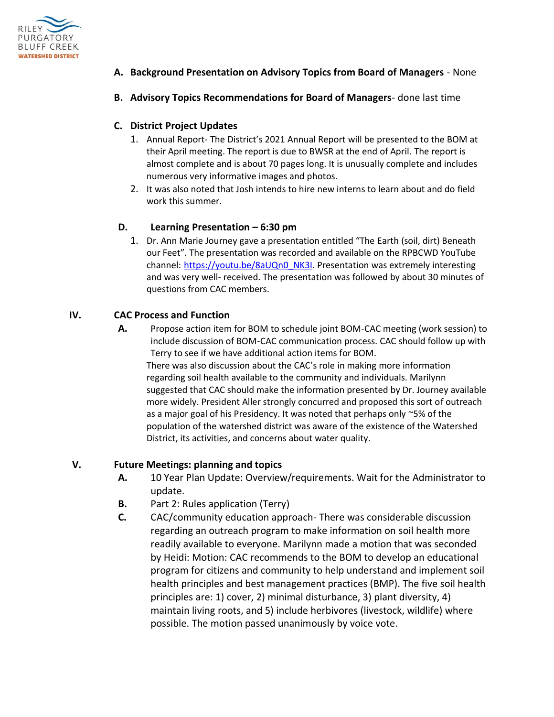

- **A. Background Presentation on Advisory Topics from Board of Managers** None
- **B. Advisory Topics Recommendations for Board of Managers** done last time

## **C. District Project Updates**

- 1. Annual Report- The District's 2021 Annual Report will be presented to the BOM at their April meeting. The report is due to BWSR at the end of April. The report is almost complete and is about 70 pages long. It is unusually complete and includes numerous very informative images and photos.
- 2. It was also noted that Josh intends to hire new interns to learn about and do field work this summer.

## **D. Learning Presentation – 6:30 pm**

1. Dr. Ann Marie Journey gave a presentation entitled "The Earth (soil, dirt) Beneath our Feet". The presentation was recorded and available on the RPBCWD YouTube channel: [https://youtu.be/8aUQn0\\_NK3I.](https://youtu.be/8aUQn0_NK3I) Presentation was extremely interesting and was very well- received. The presentation was followed by about 30 minutes of questions from CAC members.

## **IV. CAC Process and Function**

**A.** Propose action item for BOM to schedule joint BOM-CAC meeting (work session) to include discussion of BOM-CAC communication process. CAC should follow up with Terry to see if we have additional action items for BOM. There was also discussion about the CAC's role in making more information regarding soil health available to the community and individuals. Marilynn suggested that CAC should make the information presented by Dr. Journey available more widely. President Aller strongly concurred and proposed this sort of outreach as a major goal of his Presidency. It was noted that perhaps only ~5% of the population of the watershed district was aware of the existence of the Watershed District, its activities, and concerns about water quality.

## **V. Future Meetings: planning and topics**

- **A.** 10 Year Plan Update: Overview/requirements. Wait for the Administrator to update.
- **B.** Part 2: Rules application (Terry)
- **C.** CAC/community education approach- There was considerable discussion regarding an outreach program to make information on soil health more readily available to everyone. Marilynn made a motion that was seconded by Heidi: Motion: CAC recommends to the BOM to develop an educational program for citizens and community to help understand and implement soil health principles and best management practices (BMP). The five soil health principles are: 1) cover, 2) minimal disturbance, 3) plant diversity, 4) maintain living roots, and 5) include herbivores (livestock, wildlife) where possible. The motion passed unanimously by voice vote.